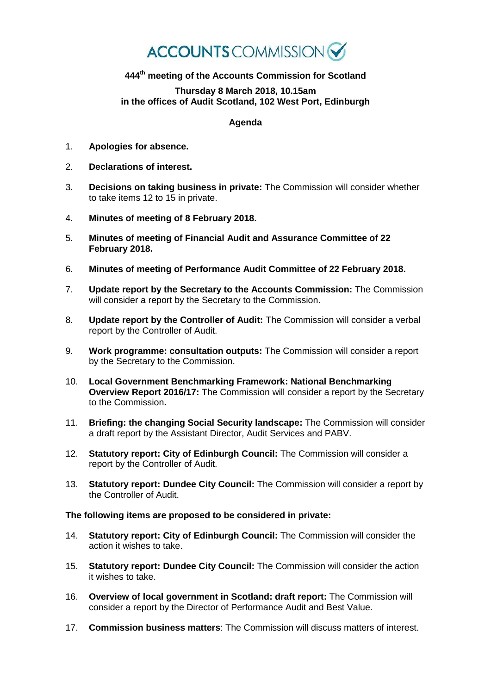# **ACCOUNTS** COMMISSION

# **444 th meeting of the Accounts Commission for Scotland**

#### **Thursday 8 March 2018, 10.15am in the offices of Audit Scotland, 102 West Port, Edinburgh**

## **Agenda**

- 1. **Apologies for absence.**
- 2. **Declarations of interest.**
- 3. **Decisions on taking business in private:** The Commission will consider whether to take items 12 to 15 in private.
- 4. **Minutes of meeting of 8 February 2018.**
- 5. **Minutes of meeting of Financial Audit and Assurance Committee of 22 February 2018.**
- 6. **Minutes of meeting of Performance Audit Committee of 22 February 2018.**
- 7. **Update report by the Secretary to the Accounts Commission:** The Commission will consider a report by the Secretary to the Commission.
- 8. **Update report by the Controller of Audit:** The Commission will consider a verbal report by the Controller of Audit.
- 9. **Work programme: consultation outputs:** The Commission will consider a report by the Secretary to the Commission.
- 10. **Local Government Benchmarking Framework: National Benchmarking Overview Report 2016/17:** The Commission will consider a report by the Secretary to the Commission**.**
- 11. **Briefing: the changing Social Security landscape:** The Commission will consider a draft report by the Assistant Director, Audit Services and PABV.
- 12. **Statutory report: City of Edinburgh Council:** The Commission will consider a report by the Controller of Audit.
- 13. **Statutory report: Dundee City Council:** The Commission will consider a report by the Controller of Audit.

### **The following items are proposed to be considered in private:**

- 14. **Statutory report: City of Edinburgh Council:** The Commission will consider the action it wishes to take.
- 15. **Statutory report: Dundee City Council:** The Commission will consider the action it wishes to take.
- 16. **Overview of local government in Scotland: draft report:** The Commission will consider a report by the Director of Performance Audit and Best Value.
- 17. **Commission business matters**: The Commission will discuss matters of interest.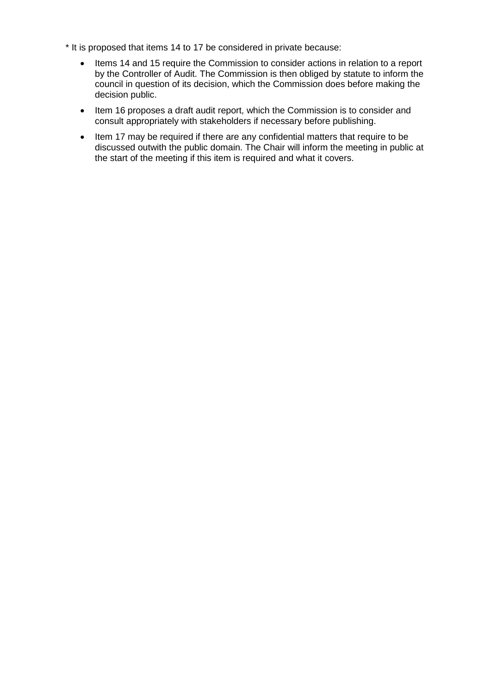- \* It is proposed that items 14 to 17 be considered in private because:
	- Items 14 and 15 require the Commission to consider actions in relation to a report by the Controller of Audit. The Commission is then obliged by statute to inform the council in question of its decision, which the Commission does before making the decision public.
	- Item 16 proposes a draft audit report, which the Commission is to consider and consult appropriately with stakeholders if necessary before publishing.
	- Item 17 may be required if there are any confidential matters that require to be discussed outwith the public domain. The Chair will inform the meeting in public at the start of the meeting if this item is required and what it covers.